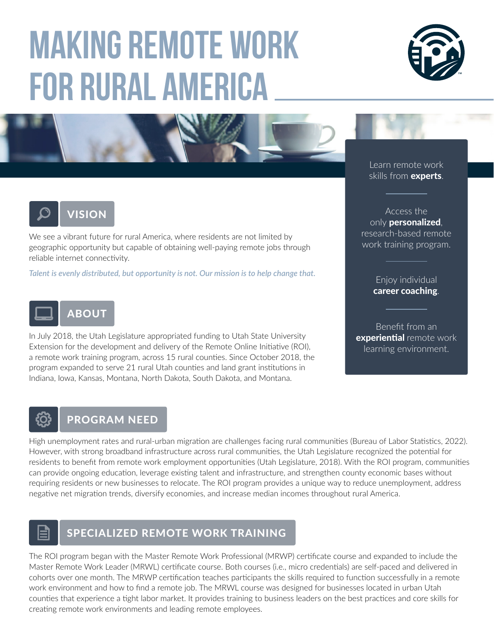# **Making Remote Work for Rural America**







We see a vibrant future for rural America, where residents are not limited by geographic opportunity but capable of obtaining well-paying remote jobs through reliable internet connectivity.

*Talent is evenly distributed, but opportunity is not. Our mission is to help change that.*



In July 2018, the Utah Legislature appropriated funding to Utah State University Extension for the development and delivery of the Remote Online Initiative (ROI), a remote work training program, across 15 rural counties. Since October 2018, the program expanded to serve 21 rural Utah counties and land grant institutions in Indiana, Iowa, Kansas, Montana, North Dakota, South Dakota, and Montana.

Learn remote work skills from **experts**.

Access the only **personalized**, research-based remote work training program.

> Enjoy individual career coaching.

Benefit from an **experiential** remote work learning environment.

### PROGRAM NEED

High unemployment rates and rural-urban migration are challenges facing rural communities (Bureau of Labor Statistics, 2022). However, with strong broadband infrastructure across rural communities, the Utah Legislature recognized the potential for residents to benefit from remote work employment opportunities (Utah Legislature, 2018). With the ROI program, communities can provide ongoing education, leverage existing talent and infrastructure, and strengthen county economic bases without requiring residents or new businesses to relocate. The ROI program provides a unique way to reduce unemployment, address negative net migration trends, diversify economies, and increase median incomes throughout rural America.



#### SPECIALIZED REMOTE WORK TRAINING

The ROI program began with the Master Remote Work Professional (MRWP) certificate course and expanded to include the Master Remote Work Leader (MRWL) certificate course. Both courses (i.e., micro credentials) are self-paced and delivered in cohorts over one month. The MRWP certification teaches participants the skills required to function successfully in a remote work environment and how to find a remote job. The MRWL course was designed for businesses located in urban Utah counties that experience a tight labor market. It provides training to business leaders on the best practices and core skills for creating remote work environments and leading remote employees.